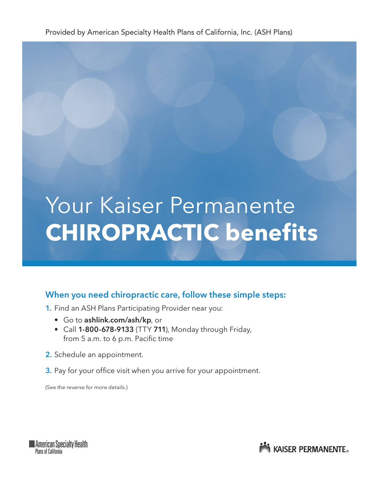# Your Kaiser Permanente **CHIROPRACTIC benefits**

### When you need chiropractic care, follow these simple steps:

- 1. Find an ASH Plans Participating Provider near you:
	- Go to ashlink.com/ash/kp, or
	- Call 1-800-678-9133 (TTY 711), Monday through Friday, from 5 a.m. to 6 p.m. Pacific time
- 2. Schedule an appointment.
- **3.** Pay for your office visit when you arrive for your appointment.

(See the reverse for more details.)



**NOW KAISER PERMANENTE.**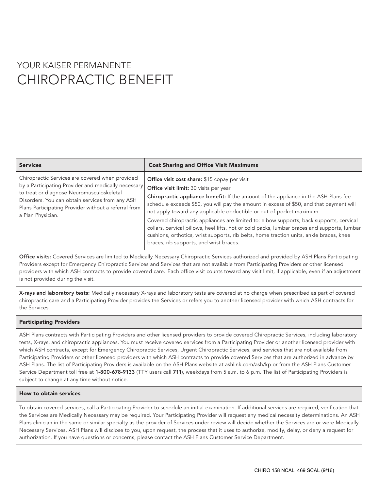## YOUR KAISER PERMANENTE CHIROPRACTIC BENEFIT

| <b>Services</b>                                                                                                                                                                                                                                                                     | <b>Cost Sharing and Office Visit Maximums</b>                                                                                                                                                                                                                                                                                                                                                                                                                                                                                                                                                                                                                                             |
|-------------------------------------------------------------------------------------------------------------------------------------------------------------------------------------------------------------------------------------------------------------------------------------|-------------------------------------------------------------------------------------------------------------------------------------------------------------------------------------------------------------------------------------------------------------------------------------------------------------------------------------------------------------------------------------------------------------------------------------------------------------------------------------------------------------------------------------------------------------------------------------------------------------------------------------------------------------------------------------------|
| Chiropractic Services are covered when provided<br>by a Participating Provider and medically necessary<br>to treat or diagnose Neuromusculoskeletal<br>Disorders. You can obtain services from any ASH<br>Plans Participating Provider without a referral from<br>a Plan Physician. | <b>Office visit cost share:</b> \$15 copay per visit<br>Office visit limit: 30 visits per year<br>Chiropractic appliance benefit: If the amount of the appliance in the ASH Plans fee<br>schedule exceeds \$50, you will pay the amount in excess of \$50, and that payment will<br>not apply toward any applicable deductible or out-of-pocket maximum.<br>Covered chiropractic appliances are limited to: elbow supports, back supports, cervical<br>collars, cervical pillows, heel lifts, hot or cold packs, lumbar braces and supports, lumbar<br>cushions, orthotics, wrist supports, rib belts, home traction units, ankle braces, knee<br>braces, rib supports, and wrist braces. |

Office visits: Covered Services are limited to Medically Necessary Chiropractic Services authorized and provided by ASH Plans Participating Providers except for Emergency Chiropractic Services and Services that are not available from Participating Providers or other licensed providers with which ASH contracts to provide covered care. Each office visit counts toward any visit limit, if applicable, even if an adjustment is not provided during the visit.

X-rays and laboratory tests: Medically necessary X-rays and laboratory tests are covered at no charge when prescribed as part of covered chiropractic care and a Participating Provider provides the Services or refers you to another licensed provider with which ASH contracts for the Services.

#### Participating Providers

ASH Plans contracts with Participating Providers and other licensed providers to provide covered Chiropractic Services, including laboratory tests, X-rays, and chiropractic appliances. You must receive covered services from a Participating Provider or another licensed provider with which ASH contracts, except for Emergency Chiropractic Services, Urgent Chiropractic Services, and services that are not available from Participating Providers or other licensed providers with which ASH contracts to provide covered Services that are authorized in advance by ASH Plans. The list of Participating Providers is available on the ASH Plans website at ashlink.com/ash/kp or from the ASH Plans Customer Service Department toll free at 1-800-678-9133 (TTY users call 711), weekdays from 5 a.m. to 6 p.m. The list of Participating Providers is subject to change at any time without notice.

#### How to obtain services

To obtain covered services, call a Participating Provider to schedule an initial examination. If additional services are required, verification that the Services are Medically Necessary may be required. Your Participating Provider will request any medical necessity determinations. An ASH Plans clinician in the same or similar specialty as the provider of Services under review will decide whether the Services are or were Medically Necessary Services. ASH Plans will disclose to you, upon request, the process that it uses to authorize, modify, delay, or deny a request for authorization. If you have questions or concerns, please contact the ASH Plans Customer Service Department.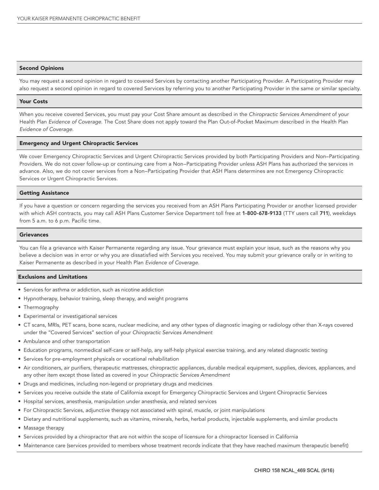#### Second Opinions

You may request a second opinion in regard to covered Services by contacting another Participating Provider. A Participating Provider may also request a second opinion in regard to covered Services by referring you to another Participating Provider in the same or similar specialty.

#### Your Costs

When you receive covered Services, you must pay your Cost Share amount as described in the *Chiropractic Services Amendment* of your Health Plan *Evidence of Coverage.* The Cost Share does not apply toward the Plan Out-of-Pocket Maximum described in the Health Plan *Evidence of Coverage.*

#### Emergency and Urgent Chiropractic Services

We cover Emergency Chiropractic Services and Urgent Chiropractic Services provided by both Participating Providers and Non–Participating Providers. We do not cover follow-up or continuing care from a Non–Participating Provider unless ASH Plans has authorized the services in advance. Also, we do not cover services from a Non–Participating Provider that ASH Plans determines are not Emergency Chiropractic Services or Urgent Chiropractic Services.

#### Getting Assistance

If you have a question or concern regarding the services you received from an ASH Plans Participating Provider or another licensed provider with which ASH contracts, you may call ASH Plans Customer Service Department toll free at 1-800-678-9133 (TTY users call 711), weekdays from 5 a.m. to 6 p.m. Pacific time.

#### **Grievances**

You can file a grievance with Kaiser Permanente regarding any issue. Your grievance must explain your issue, such as the reasons why you believe a decision was in error or why you are dissatisfied with Services you received. You may submit your grievance orally or in writing to Kaiser Permanente as described in your Health Plan *Evidence of Coverage.*

#### Exclusions and Limitations

- Services for asthma or addiction, such as nicotine addiction
- Hypnotherapy, behavior training, sleep therapy, and weight programs
- Thermography
- Experimental or investigational services
- CT scans, MRIs, PET scans, bone scans, nuclear medicine, and any other types of diagnostic imaging or radiology other than X-rays covered under the "Covered Services" section of your *Chiropractic Services Amendment*
- Ambulance and other transportation
- Education programs, nonmedical self-care or self-help, any self-help physical exercise training, and any related diagnostic testing
- Services for pre-employment physicals or vocational rehabilitation
- Air conditioners, air purifiers, therapeutic mattresses, chiropractic appliances, durable medical equipment, supplies, devices, appliances, and any other item except those listed as covered in your *Chiropractic Services Amendment*
- Drugs and medicines, including non-legend or proprietary drugs and medicines
- Services you receive outside the state of California except for Emergency Chiropractic Services and Urgent Chiropractic Services
- Hospital services, anesthesia, manipulation under anesthesia, and related services
- For Chiropractic Services, adjunctive therapy not associated with spinal, muscle, or joint manipulations
- Dietary and nutritional supplements, such as vitamins, minerals, herbs, herbal products, injectable supplements, and similar products
- Massage therapy
- Services provided by a chiropractor that are not within the scope of licensure for a chiropractor licensed in California
- Maintenance care (services provided to members whose treatment records indicate that they have reached maximum therapeutic benefit)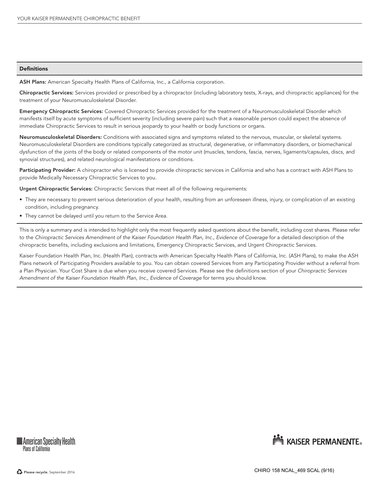#### **Definitions**

ASH Plans: American Specialty Health Plans of California, Inc., a California corporation.

Chiropractic Services: Services provided or prescribed by a chiropractor (including laboratory tests, X-rays, and chiropractic appliances) for the treatment of your Neuromusculoskeletal Disorder.

Emergency Chiropractic Services: Covered Chiropractic Services provided for the treatment of a Neuromusculoskeletal Disorder which manifests itself by acute symptoms of sufficient severity (including severe pain) such that a reasonable person could expect the absence of immediate Chiropractic Services to result in serious jeopardy to your health or body functions or organs.

Neuromusculoskeletal Disorders: Conditions with associated signs and symptoms related to the nervous, muscular, or skeletal systems. Neuromusculoskeletal Disorders are conditions typically categorized as structural, degenerative, or inflammatory disorders, or biomechanical dysfunction of the joints of the body or related components of the motor unit (muscles, tendons, fascia, nerves, ligaments/capsules, discs, and synovial structures), and related neurological manifestations or conditions.

Participating Provider: A chiropractor who is licensed to provide chiropractic services in California and who has a contract with ASH Plans to provide Medically Necessary Chiropractic Services to you.

Urgent Chiropractic Services: Chiropractic Services that meet all of the following requirements:

- They are necessary to prevent serious deterioration of your health, resulting from an unforeseen illness, injury, or complication of an existing condition, including pregnancy.
- They cannot be delayed until you return to the Service Area.

This is only a summary and is intended to highlight only the most frequently asked questions about the benefit, including cost shares. Please refer to the *Chiropractic Services Amendment of the Kaiser Foundation Health Plan, Inc., Evidence of Coverage* for a detailed description of the chiropractic benefits, including exclusions and limitations, Emergency Chiropractic Services, and Urgent Chiropractic Services.

Kaiser Foundation Health Plan, Inc. (Health Plan), contracts with American Specialty Health Plans of California, Inc. (ASH Plans), to make the ASH Plans network of Participating Providers available to you. You can obtain covered Services from any Participating Provider without a referral from a Plan Physician. Your Cost Share is due when you receive covered Services. Please see the definitions section of your *Chiropractic Services Amendment of the Kaiser Foundation Health Plan, Inc., Evidence of Coverage* for terms you should know.



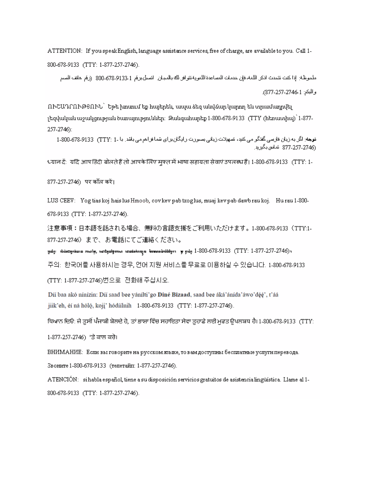ATTENTION: If you speak English, language assistance services, free of charge, are available to you. Call 1-800-678-9133 (TTY: 1-877-257-2746).

ملحوظة: إذا كنت نتحدث اذكر اللغة، فإن خدمات المساعدة اللغوية نثوافر لله بالمجان. انصل برنم 1 331-78-300، (رفم هاتف الصم والبكم: 21-2746-257).

ՈՒՇԱԴՐՈՒԹՑՈՒՆ` Եթե խոսում եք հայերեն, ապա ձեզ անվձար կարող են տրամադրվել լեզվական աջակցության ծառայություններ։ Զանգահարեք 1-800-678-9133 (TTY (հեռատիպ) 1-877-257-2746):

**توجه**: اگر به زيا*ن* فارسی گفگو می کنڊ، نسهبلات زيانی بصورت رابگا*ن* برای شما فراهم می باشد. با -1 "TTY (TTY) 678-9133-1-800 (274-257-2746 - شاس بگيريد

्ध्यान दें: यदि आप हिंदी बोलते हैं तो आपके लिए मफ्त में भाषा सहायता सेवाएं उपलब्ध हैं। 1-800-678-9133 (TTY: 1-

877-257-2746) पर कॉल करें।

LUS CEEV: Yog tias koj hais lus Hmoob, cov kev pab txog lus, muaj kev pab dawb rau koj. Hu rau 1-800-678-9133 (TTY: 1-877-257-2746).

注意事項:日本語を話される場合、無料の言語支援をご利用いただけます。1-800-678-9133 (TTY:1-877-257-2746)まで、お電話にてご連絡ください。

ըամը։ ամմաշարմակա տեղեց, համարակատեր համանական առատատարածականացող արդմար 1-800-678-9133 (TTY: 1-877-257-2746) ա

주의: 한국머를 사용하시는 경우, 언어 지원 서비스를 무료로 미용하실 수 있습니다. 1-800-678-9133

(TTY: 1-877-257-2746)번으로 전화해주십시오.

Díi baa akó ninízin: Díi saad bee yánílti'go Diné Bizaad, saad bee áká'ánída'áwo'déé', t'áá jiik'eh, éí ná hóló, koji' hódíilnih 1-800-678-9133 (TTY: 1-877-257-2746).

ਧਿਆਨ ਦਿਓ: ਜੇ ਤੁਸੀਂ ਪੰਜਾਬੀ ਬੇਲਦੇ ਹੋ, ਤਾਂ ਭਾਸ਼ਾ ਵਿੱਚ ਸਹਾਇਤਾ ਸੇਵਾ ਤੁਹਾਡੇ ਲਈ ਮਫਤ ਉਪਲਬਧ ਹੈ। 1-800-678-9133 (TTY:

1-877-257-2746) 'ਤੇ ਕਾਲ ਕਰੇ।

ВНИМАНИЕ: Если вы говорите на русском языке, то вам доступны бесплатные услуги перевода.

Звоните 1-800-678-9133 (телетайп: 1-877-257-2746).

ATENCIÓN: si habla español, tiene a su disposición servicios gratuitos de asistencia lingüística. Llame al 1-800-678-9133 (TTY: 1-877-257-2746).